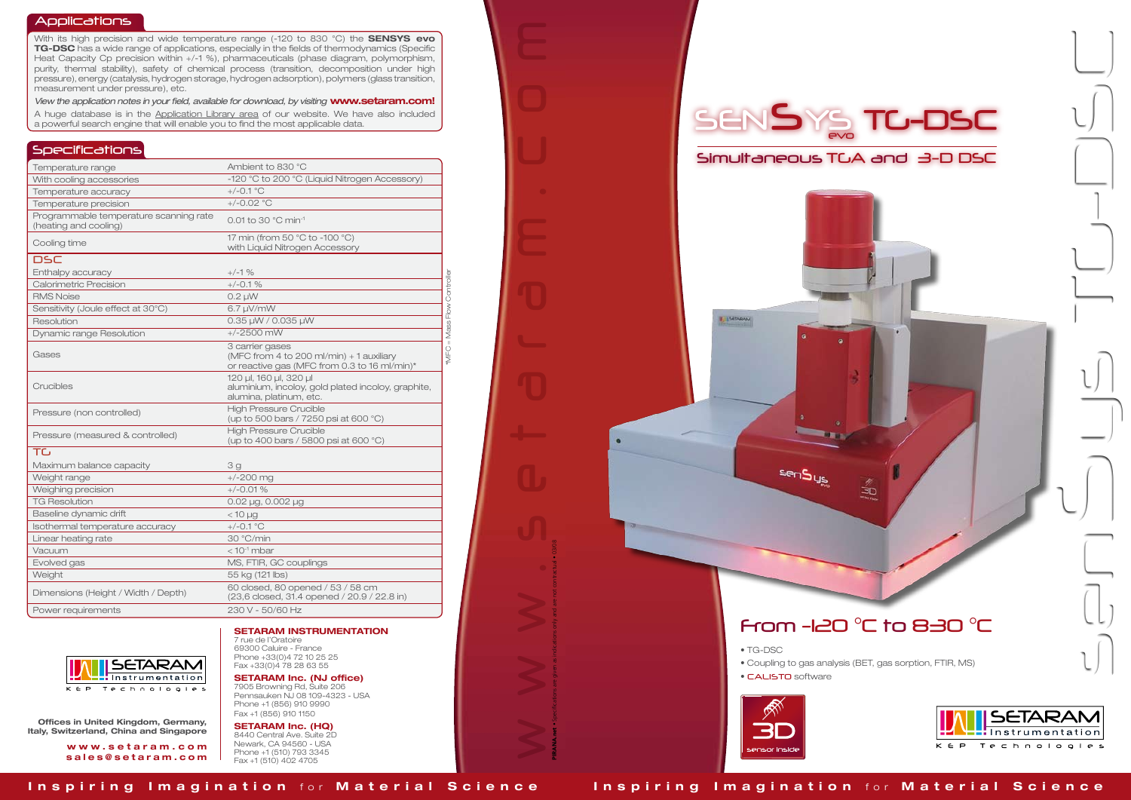www.setaram.com

PIRANA.net • Specifications are given as indications only and are not contractual • 03/08

- TG-DSC
- 
- CALISTO software



### Applications

With its high precision and wide temperature range (-120 to 830 °C) the **SENSYS evo** TG-DSC has a wide range of applications, especially in the fields of thermodynamics (Specific Heat Capacity Cp precision within +/-1 %), pharmaceuticals (phase diagram, polymorphism, purity, thermal stability), safety of chemical process (transition, decomposition under high pressure), energy (catalysis, hydrogen storage, hydrogen adsorption), polymers (glass transition, measurement under pressure), etc.

*View the application notes in your field, available for download, by visiting* www.setaram.com! A huge database is in the Application Library area of our website. We have also included a powerful search engine that will enable you to find the most applicable data.

## **Specifications**

Inspiring Imagination for Material Science Inspiring Imagination for Material Science





| Temperature range                                               | Ambient to 830 °C                                                                                           |
|-----------------------------------------------------------------|-------------------------------------------------------------------------------------------------------------|
| With cooling accessories                                        | -120 °C to 200 °C (Liquid Nitrogen Accessory)                                                               |
| Temperature accuracy                                            | $+/-0.1 °C$                                                                                                 |
| Temperature precision                                           | $+/-0.02$ °C                                                                                                |
| Programmable temperature scanning rate<br>(heating and cooling) | $0.01$ to 30 $^{\circ}$ C min <sup>-1</sup>                                                                 |
| Cooling time                                                    | 17 min (from 50 °C to -100 °C)<br>with Liquid Nitrogen Accessory                                            |
| <b>DSC</b>                                                      |                                                                                                             |
| Enthalpy accuracy                                               | $+/-1$ %                                                                                                    |
| Calorimetric Precision                                          | $+/-0.1%$                                                                                                   |
| <b>RMS Noise</b>                                                | $0.2 \mu W$                                                                                                 |
| Sensitivity (Joule effect at 30°C)                              | $6.7 \mu V/mW$                                                                                              |
| Resolution                                                      | 0.35 µW / 0.035 µW                                                                                          |
| Dynamic range Resolution                                        | $+/-2500$ mW                                                                                                |
| Gases                                                           | 3 carrier gases<br>(MFC from 4 to 200 ml/min) + 1 auxiliary<br>or reactive gas (MFC from 0.3 to 16 ml/min)* |
| Crucibles                                                       | 120 µl, 160 µl, 320 µl<br>aluminium, incoloy, gold plated incoloy, graphite,<br>alumina, platinum, etc.     |
| Pressure (non controlled)                                       | <b>High Pressure Crucible</b><br>(up to 500 bars / 7250 psi at 600 °C)                                      |
| Pressure (measured & controlled)                                | <b>High Pressure Crucible</b><br>(up to 400 bars / 5800 psi at 600 °C)                                      |
| TC                                                              |                                                                                                             |
| Maximum balance capacity                                        | 3g                                                                                                          |
| Weight range                                                    | $+/-200$ mg                                                                                                 |
| Weighing precision                                              | $+/-0.01%$                                                                                                  |
| <b>TG Resolution</b>                                            | 0.02 µg, 0.002 µg                                                                                           |
| Baseline dynamic drift                                          | $<$ 10 $\mu$ g                                                                                              |
| Isothermal temperature accuracy                                 | $+/-0.1$ °C                                                                                                 |
| Linear heating rate                                             | 30 °C/min                                                                                                   |
| Vacuum                                                          | $<$ 10 <sup>-1</sup> mbar                                                                                   |
| Evolved gas                                                     | MS, FTIR, GC couplings                                                                                      |
| Weight                                                          | 55 kg (121 lbs)                                                                                             |
| Dimensions (Height / Width / Depth)                             | 60 closed, 80 opened / 53 / 58 cm<br>(23,6 closed, 31.4 opened / 20.9 / 22.8 in)                            |
| Power requirements                                              | 230 V - 50/60 Hz                                                                                            |



### SETARAM INSTRUMENTATION 7 rue de l'Oratoire

69300 Caluire - France Phone +33(0)4 72 10 25 25 Fax +33(0)4 78 28 63 55

SETARAM Inc. (NJ office) 7905 Browning Rd, Suite 206 Pennsauken NJ 08 109-4323 - USA Phone +1 (856) 910 9990 Fax +1 (856) 910 1150

SETARAM Inc. (HQ) 8440 Central Ave. Suite 2D Newark, CA 94560 - USA Phone +1 (510) 793 3345 Fax +1 (510) 402 4705

**I** ISERANA

sen Sus

Offices in United Kingdom, Germany, Italy, Switzerland, China and Singapore

> w w w . s e t a r a m . c o m sales@setaram.com